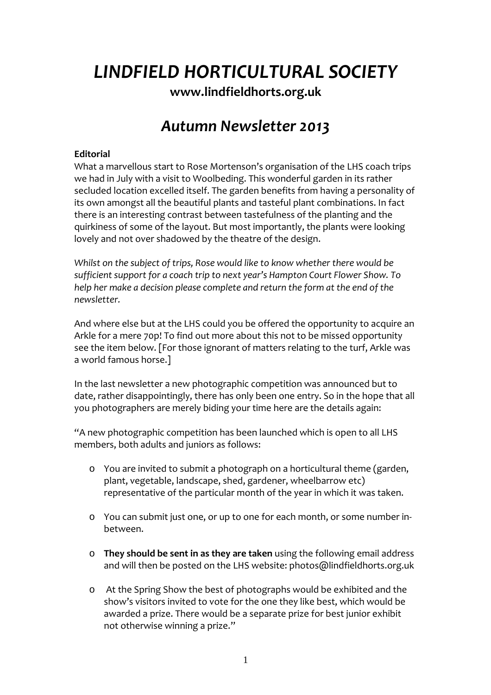*LINDFIELD HORTICULTURAL SOCIETY*

**[www.lindfieldhorts.org.uk](http://www.lindfieldhorts.org.uk/)**

# *Autumn Newsletter 2013*

## **Editorial**

What a marvellous start to Rose Mortenson's organisation of the LHS coach trips we had in July with a visit to Woolbeding. This wonderful garden in its rather secluded location excelled itself. The garden benefits from having a personality of its own amongst all the beautiful plants and tasteful plant combinations. In fact there is an interesting contrast between tastefulness of the planting and the quirkiness of some of the layout. But most importantly, the plants were looking lovely and not over shadowed by the theatre of the design.

*Whilst on the subject of trips, Rose would like to know whether there would be sufficient support for a coach trip to next year's Hampton Court Flower Show. To help her make a decision please complete and return the form at the end of the newsletter.*

And where else but at the LHS could you be offered the opportunity to acquire an Arkle for a mere 70p! To find out more about this not to be missed opportunity see the item below. [For those ignorant of matters relating to the turf, Arkle was a world famous horse.]

In the last newsletter a new photographic competition was announced but to date, rather disappointingly, there has only been one entry. So in the hope that all you photographers are merely biding your time here are the details again:

"A new photographic competition has been launched which is open to all LHS members, both adults and juniors as follows:

- o You are invited to submit a photograph on a horticultural theme (garden, plant, vegetable, landscape, shed, gardener, wheelbarrow etc) representative of the particular month of the year in which it was taken.
- o You can submit just one, or up to one for each month, or some number in‐ between.
- o **They should be sent in as they are taken** using the following email address and will then be posted on the LHS website: [photos@lindfieldhorts.org.uk](mailto:photos@lindfieldhorts.org.uk)
- o At the Spring Show the best of photographs would be exhibited and the show's visitors invited to vote for the one they like best, which would be awarded a prize. There would be a separate prize for best junior exhibit not otherwise winning a prize."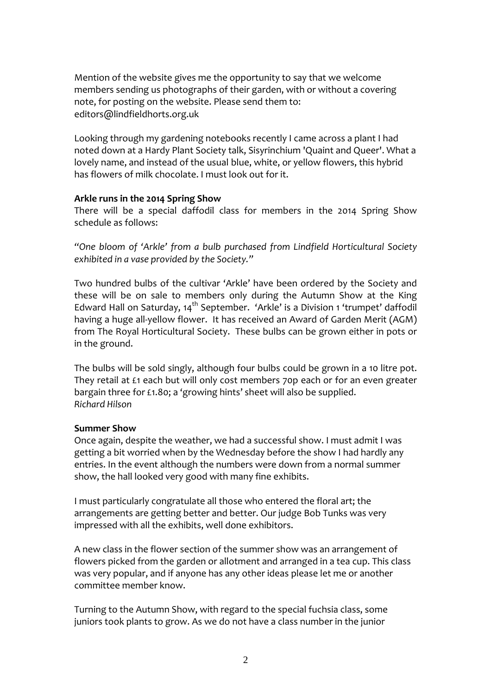Mention of the website gives me the opportunity to say that we welcome members sending us photographs of their garden, with or without a covering note, for posting on the website. Please send them to: editors@lindfieldhorts.org.uk

Looking through my gardening notebooks recently I came across a plant I had noted down at a Hardy Plant Society talk, Sisyrinchium 'Quaint and Queer'. What a lovely name, and instead of the usual blue, white, or yellow flowers, this hybrid has flowers of milk chocolate. I must look out for it.

#### **Arkle runs in the 2014 Spring Show**

There will be a special daffodil class for members in the 2014 Spring Show schedule as follows:

*"One bloom of 'Arkle' from a bulb purchased from Lindfield Horticultural Society exhibited in a vase provided by the Society."*

Two hundred bulbs of the cultivar 'Arkle' have been ordered by the Society and these will be on sale to members only during the Autumn Show at the King Edward Hall on Saturday,  $14<sup>th</sup>$  September. 'Arkle' is a Division 1 'trumpet' daffodil having a huge all-yellow flower. It has received an Award of Garden Merit (AGM) from The Royal Horticultural Society. These bulbs can be grown either in pots or in the ground.

The bulbs will be sold singly, although four bulbs could be grown in a 10 litre pot. They retail at £1 each but will only cost members 70p each or for an even greater bargain three for £1.80; a 'growing hints' sheet will also be supplied. *Richard Hilson*

#### **Summer Show**

Once again, despite the weather, we had a successful show. I must admit I was getting a bit worried when by the Wednesday before the show I had hardly any entries. In the event although the numbers were down from a normal summer show, the hall looked very good with many fine exhibits.

I must particularly congratulate all those who entered the floral art; the arrangements are getting better and better. Our judge Bob Tunks was very impressed with all the exhibits, well done exhibitors.

A new class in the flower section of the summer show was an arrangement of flowers picked from the garden or allotment and arranged in a tea cup. This class was very popular, and if anyone has any other ideas please let me or another committee member know.

Turning to the Autumn Show, with regard to the special fuchsia class, some juniors took plants to grow. As we do not have a class number in the junior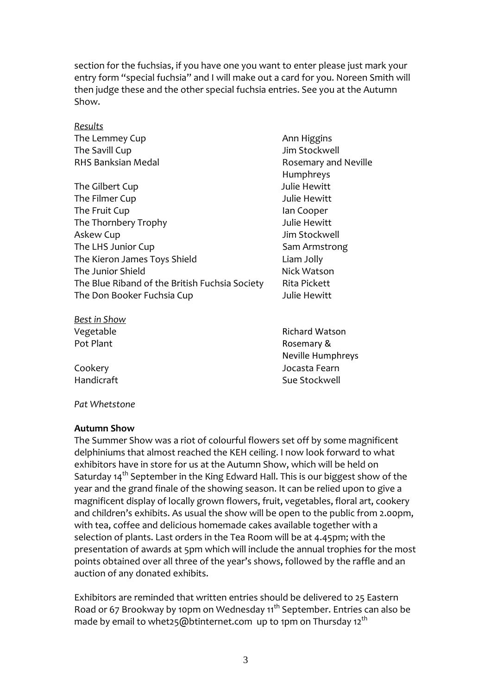section for the fuchsias, if you have one you want to enter please just mark your entry form "special fuchsia" and I will make out a card for you. Noreen Smith will then judge these and the other special fuchsia entries. See you at the Autumn Show.

| Results                                        |                      |
|------------------------------------------------|----------------------|
| The Lemmey Cup                                 | Ann Higgins          |
| The Savill Cup                                 | Jim Stockwell        |
| RHS Banksian Medal                             | Rosemary and Neville |
|                                                | Humphreys            |
| The Gilbert Cup                                | Julie Hewitt         |
| The Filmer Cup                                 | Julie Hewitt         |
| The Fruit Cup                                  | lan Cooper           |
| The Thornbery Trophy                           | Julie Hewitt         |
| Askew Cup                                      | Jim Stockwell        |
| The LHS Junior Cup                             | Sam Armstrong        |
| The Kieron James Toys Shield                   | Liam Jolly           |
| The Junior Shield                              | Nick Watson          |
| The Blue Riband of the British Fuchsia Society | Rita Pickett         |
| The Don Booker Fuchsia Cup                     | Julie Hewitt         |
|                                                |                      |

*Best in Show*

Vegetable **The Contract of Contract Contract Contract Contract Contract Contract Contract Contract Contract Contract Contract Contract Contract Contract Contract Contract Contract Contract Contract Contract Contract Contra** Pot Plant **Pot Plant** *Pot Plant* *Rosemary &*  Neville Humphreys Cookery Jocasta Fearn Handicraft Sue Stockwell

*Pat Whetstone*

#### **Autumn Show**

The Summer Show was a riot of colourful flowers set off by some magnificent delphiniums that almost reached the KEH ceiling. I now look forward to what exhibitors have in store for us at the Autumn Show, which will be held on Saturday 14<sup>th</sup> September in the King Edward Hall. This is our biggest show of the year and the grand finale of the showing season. It can be relied upon to give a magnificent display of locally grown flowers, fruit, vegetables, floral art, cookery and children's exhibits. As usual the show will be open to the public from 2.00pm, with tea, coffee and delicious homemade cakes available together with a selection of plants. Last orders in the Tea Room will be at 4.45pm; with the presentation of awards at 5pm which will include the annual trophies for the most points obtained over all three of the year's shows, followed by the raffle and an auction of any donated exhibits.

Exhibitors are reminded that written entries should be delivered to 25 Eastern Road or 67 Brookway by 10pm on Wednesday 11<sup>th</sup> September. Entries can also be made by email to [whet25@btinternet.com](mailto:whet25@btinternet.com) up to 1pm on Thursday 12<sup>th</sup>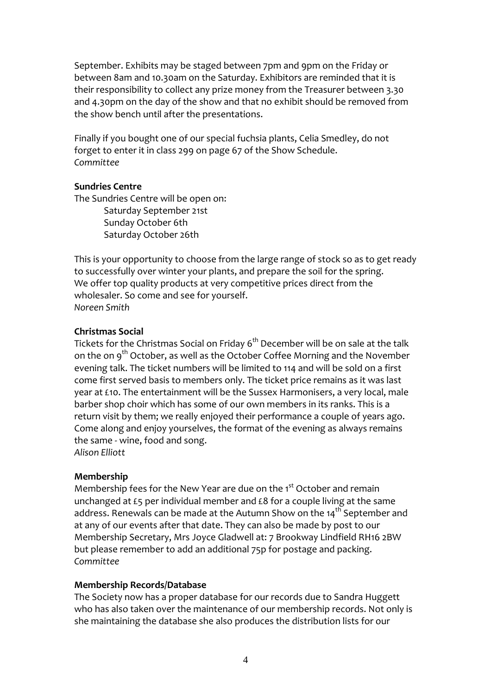September. Exhibits may be staged between 7pm and 9pm on the Friday or between 8am and 10.30am on the Saturday. Exhibitors are reminded that it is their responsibility to collect any prize money from the Treasurer between 3.30 and 4.30pm on the day of the show and that no exhibit should be removed from the show bench until after the presentations.

Finally if you bought one of our special fuchsia plants, Celia Smedley, do not forget to enter it in class 299 on page 67 of the Show Schedule. *Committee*

#### **Sundries Centre**

The Sundries Centre will be open on: Saturday September 21st Sunday October 6th Saturday October 26th

This is your opportunity to choose from the large range of stock so as to get ready to successfully over winter your plants, and prepare the soil for the spring. We offer top quality products at very competitive prices direct from the wholesaler. So come and see for yourself. *Noreen Smith*

### **Christmas Social**

Tickets for the Christmas Social on Friday 6<sup>th</sup> December will be on sale at the talk on the on 9<sup>th</sup> October, as well as the October Coffee Morning and the November evening talk. The ticket numbers will be limited to 114 and will be sold on a first come first served basis to members only. The ticket price remains as it was last year at £10. The entertainment will be the Sussex Harmonisers, a very local, male barber shop choir which has some of our own members in its ranks. This is a return visit by them; we really enjoyed their performance a couple of years ago. Come along and enjoy yourselves, the format of the evening as always remains the same ‐ wine, food and song. *Alison Elliott*

#### **Membership**

Membership fees for the New Year are due on the 1<sup>st</sup> October and remain unchanged at £5 per individual member and £8 for a couple living at the same address. Renewals can be made at the Autumn Show on the 14<sup>th</sup> September and at any of our events after that date. They can also be made by post to our Membership Secretary, Mrs Joyce Gladwell at: 7 Brookway Lindfield RH16 2BW but please remember to add an additional 75p for postage and packing. *Committee*

#### **Membership Records/Database**

The Society now has a proper database for our records due to Sandra Huggett who has also taken over the maintenance of our membership records. Not only is she maintaining the database she also produces the distribution lists for our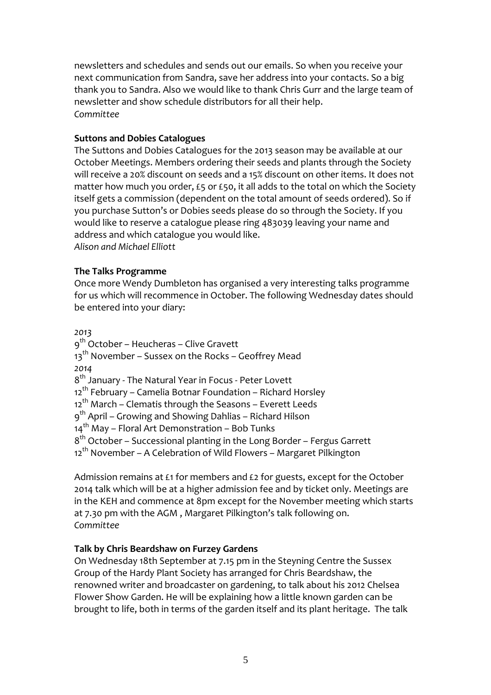newsletters and schedules and sends out our emails. So when you receive your next communication from Sandra, save her address into your contacts. So a big thank you to Sandra. Also we would like to thank Chris Gurr and the large team of newsletter and show schedule distributors for all their help. *Committee*

#### **Suttons and Dobies Catalogues**

The Suttons and Dobies Catalogues for the 2013 season may be available at our October Meetings. Members ordering their seeds and plants through the Society will receive a 20% discount on seeds and a 15% discount on other items. It does not matter how much you order, £5 or £50, it all adds to the total on which the Society itself gets a commission (dependent on the total amount of seeds ordered). So if you purchase Sutton's or Dobies seeds please do so through the Society. If you would like to reserve a catalogue please ring 483039 leaving your name and address and which catalogue you would like. *Alison and Michael Elliott*

#### **The Talks Programme**

Once more Wendy Dumbleton has organised a very interesting talks programme for us which will recommence in October. The following Wednesday dates should be entered into your diary:

*2013*

9<sup>th</sup> October – Heucheras – Clive Gravett  $13<sup>th</sup>$  November – Sussex on the Rocks – Geoffrey Mead *2014* 8<sup>th</sup> January - The Natural Year in Focus - Peter Lovett  $12<sup>th</sup>$  February – Camelia Botnar Foundation – Richard Horsley  $12<sup>th</sup>$  March – Clematis through the Seasons – Everett Leeds 9<sup>th</sup> April – Growing and Showing Dahlias – Richard Hilson  $14^{th}$  May – Floral Art Demonstration – Bob Tunks 8th October – Successional planting in the Long Border – Fergus Garrett  $12<sup>th</sup>$  November – A Celebration of Wild Flowers – Margaret Pilkington

Admission remains at £1 for members and £2 for guests, except for the October 2014 talk which will be at a higher admission fee and by ticket only. Meetings are in the KEH and commence at 8pm except for the November meeting which starts at 7.30 pm with the AGM , Margaret Pilkington's talk following on. *Committee*

#### **Talk by Chris Beardshaw on Furzey Gardens**

On Wednesday 18th September at 7.15 pm in the Steyning Centre the Sussex Group of the Hardy Plant Society has arranged for Chris Beardshaw, the renowned writer and broadcaster on gardening, to talk about his 2012 Chelsea Flower Show Garden. He will be explaining how a little known garden can be brought to life, both in terms of the garden itself and its plant heritage. The talk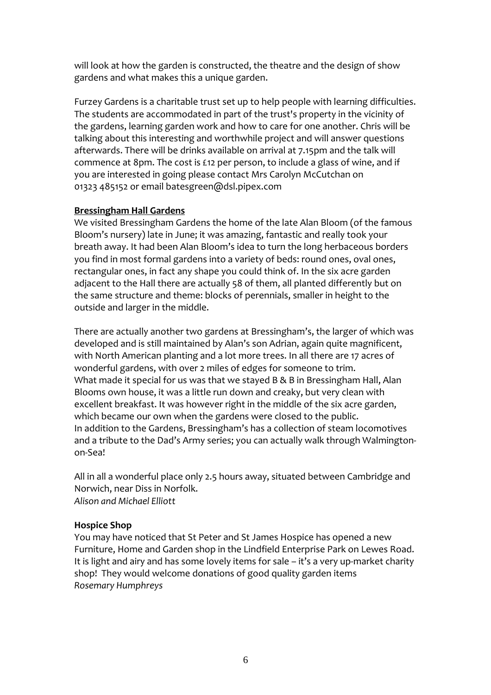will look at how the garden is constructed, the theatre and the design of show gardens and what makes this a unique garden.

Furzey Gardens is a charitable trust set up to help people with learning difficulties. The students are accommodated in part of the trust's property in the vicinity of the gardens, learning garden work and how to care for one another. Chris will be talking about this interesting and worthwhile project and will answer questions afterwards. There will be drinks available on arrival at 7.15pm and the talk will commence at 8pm. The cost is £12 per person, to include a glass of wine, and if you are interested in going please contact Mrs Carolyn McCutchan on 01323 485152 or email batesgreen@dsl.pipex.com

### **Bressingham Hall Gardens**

We visited Bressingham Gardens the home of the late Alan Bloom (of the famous Bloom's nursery) late in June; it was amazing, fantastic and really took your breath away. It had been Alan Bloom's idea to turn the long herbaceous borders you find in most formal gardens into a variety of beds: round ones, oval ones, rectangular ones, in fact any shape you could think of. In the six acre garden adjacent to the Hall there are actually 58 of them, all planted differently but on the same structure and theme: blocks of perennials, smaller in height to the outside and larger in the middle.

There are actually another two gardens at Bressingham's, the larger of which was developed and is still maintained by Alan's son Adrian, again quite magnificent, with North American planting and a lot more trees. In all there are 17 acres of wonderful gardens, with over 2 miles of edges for someone to trim. What made it special for us was that we stayed B & B in Bressingham Hall, Alan Blooms own house, it was a little run down and creaky, but very clean with excellent breakfast. It was however right in the middle of the six acre garden, which became our own when the gardens were closed to the public. In addition to the Gardens, Bressingham's has a collection of steam locomotives and a tribute to the Dad's Army series; you can actually walk through Walmington‐ on‐Sea!

All in all a wonderful place only 2.5 hours away, situated between Cambridge and Norwich, near Diss in Norfolk. *Alison and Michael Elliott*

#### **Hospice Shop**

You may have noticed that St Peter and St James Hospice has opened a new Furniture, Home and Garden shop in the Lindfield Enterprise Park on Lewes Road. It is light and airy and has some lovely items for sale – it's a very up-market charity shop! They would welcome donations of good quality garden items *Rosemary Humphreys*